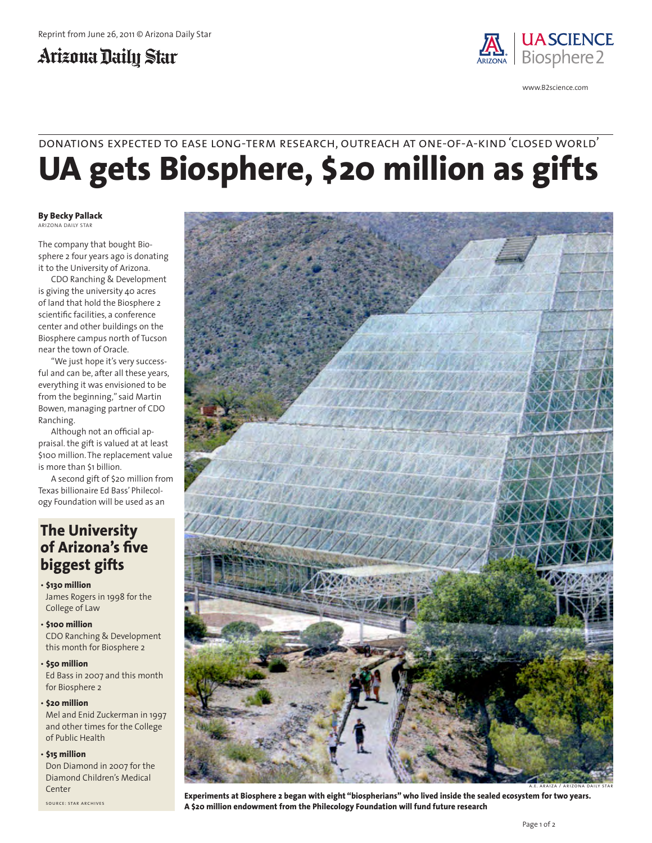## Arizona Daily Star



www.B2science.com

## **UA gets Biosphere, \$20 million as gifts** donations expected to ease long-term research, outreach at one-of-a-kind 'closed world'

#### **By Becky Pallack** ARIZONA DAILY STAR

The company that bought Biosphere 2 four years ago is donating it to the University of Arizona.

CDO Ranching & Development is giving the university 40 acres of land that hold the Biosphere 2 scientific facilities, a conference center and other buildings on the Biosphere campus north of Tucson near the town of Oracle.

"We just hope it's very successful and can be, after all these years, everything it was envisioned to be from the beginning," said Martin Bowen, managing partner of CDO Ranching.

Although not an official appraisal. the gift is valued at at least \$100 million. The replacement value is more than \$1 billion.

A second gift of \$20 million from Texas billionaire Ed Bass' Philecology Foundation will be used as an

### **The University of Arizona's five biggest gifts**

- **\$130 million** James Rogers in 1998 for the College of Law
- **\$100 million** CDO Ranching & Development this month for Biosphere 2

• **\$50 million** Ed Bass in 2007 and this month for Biosphere 2

#### • **\$20 million**

Mel and Enid Zuckerman in 1997 and other times for the College of Public Health

#### • **\$15 million**

Don Diamond in 2007 for the Diamond Children's Medical Center

source: star archives



**Experiments at Biosphere 2 began with eight "biospherians" who lived inside the sealed ecosystem for two years. A \$20 million endowment from the Philecology Foundation will fund future research**